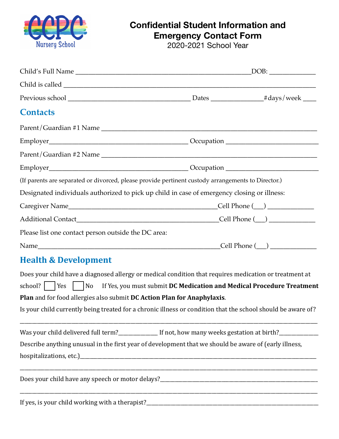

## **Confidential Student Information and Emergency Contact Form**

2020-2021 School Year

|                                                                                                                                                                                                                                                                                     | $\lfloor$ DOB: $\lfloor$ |  |  |
|-------------------------------------------------------------------------------------------------------------------------------------------------------------------------------------------------------------------------------------------------------------------------------------|--------------------------|--|--|
|                                                                                                                                                                                                                                                                                     |                          |  |  |
|                                                                                                                                                                                                                                                                                     |                          |  |  |
| <b>Contacts</b>                                                                                                                                                                                                                                                                     |                          |  |  |
|                                                                                                                                                                                                                                                                                     |                          |  |  |
|                                                                                                                                                                                                                                                                                     |                          |  |  |
|                                                                                                                                                                                                                                                                                     |                          |  |  |
|                                                                                                                                                                                                                                                                                     |                          |  |  |
| (If parents are separated or divorced, please provide pertinent custody arrangements to Director.)                                                                                                                                                                                  |                          |  |  |
| Designated individuals authorized to pick up child in case of emergency closing or illness:                                                                                                                                                                                         |                          |  |  |
|                                                                                                                                                                                                                                                                                     |                          |  |  |
|                                                                                                                                                                                                                                                                                     |                          |  |  |
| Please list one contact person outside the DC area:                                                                                                                                                                                                                                 |                          |  |  |
|                                                                                                                                                                                                                                                                                     |                          |  |  |
| <b>Health &amp; Development</b>                                                                                                                                                                                                                                                     |                          |  |  |
| Does your child have a diagnosed allergy or medical condition that requires medication or treatment at<br>school?     Yes       No If Yes, you must submit DC Medication and Medical Procedure Treatment<br>Plan and for food allergies also submit DC Action Plan for Anaphylaxis. |                          |  |  |
| Is your child currently being treated for a chronic illness or condition that the school should be aware of?                                                                                                                                                                        |                          |  |  |
| Was your child delivered full term?________________ If not, how many weeks gestation at birth?_______________                                                                                                                                                                       |                          |  |  |
| Describe anything unusual in the first year of development that we should be aware of (early illness,                                                                                                                                                                               |                          |  |  |

Does your child have any speech or motor delays?\_\_\_\_\_\_\_\_\_\_\_\_\_\_\_\_\_\_\_\_\_\_\_\_\_\_\_\_\_\_\_\_\_\_\_\_\_\_\_\_\_\_\_\_\_\_\_\_\_\_\_\_\_\_\_\_\_\_\_\_\_\_\_\_ 

If yes, is your child working with a therapist?\_\_\_\_\_\_\_\_\_\_\_\_\_\_\_\_\_\_\_\_\_\_\_\_\_\_\_\_\_\_\_\_\_\_\_\_\_\_\_\_\_\_\_\_\_\_\_\_\_\_\_\_\_\_\_\_\_\_\_\_\_\_\_\_\_\_\_\_\_\_